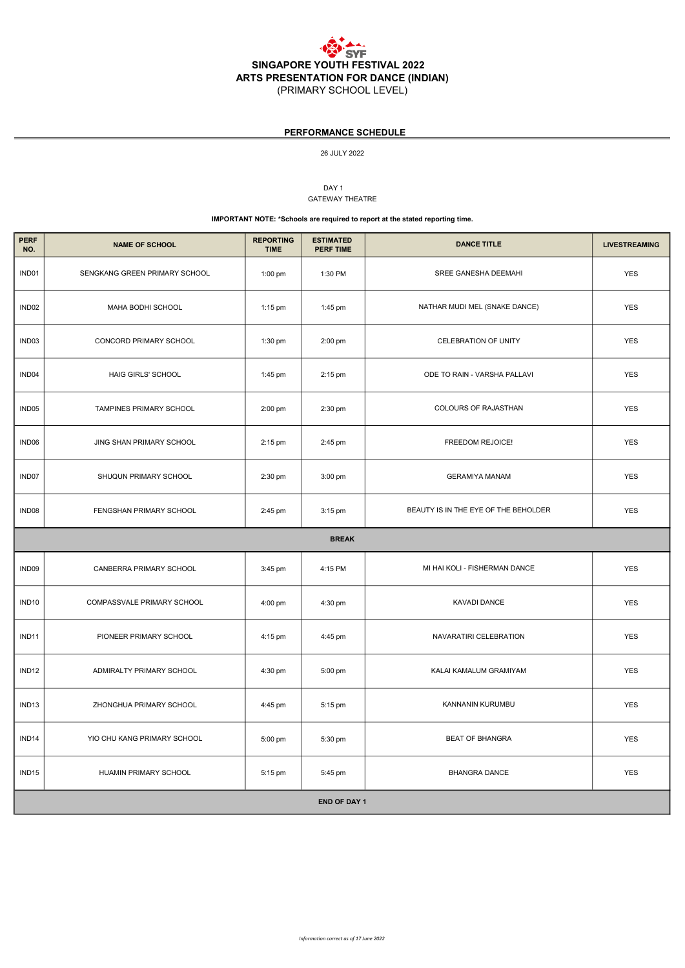

| <b>NAME OF SCHOOL</b>         | <b>REPORTING</b><br><b>TIME</b> | <b>ESTIMATED</b><br><b>PERF TIME</b> | <b>DANCE TITLE</b>                   | <b>LIVESTREAMING</b> |  |  |  |
|-------------------------------|---------------------------------|--------------------------------------|--------------------------------------|----------------------|--|--|--|
| SENGKANG GREEN PRIMARY SCHOOL | $1:00$ pm                       | 1:30 PM                              | SREE GANESHA DEEMAHI                 | <b>YES</b>           |  |  |  |
| MAHA BODHI SCHOOL             | $1:15$ pm                       | 1:45 pm                              | NATHAR MUDI MEL (SNAKE DANCE)        | <b>YES</b>           |  |  |  |
| CONCORD PRIMARY SCHOOL        | 1:30 pm                         | 2:00 pm                              | <b>CELEBRATION OF UNITY</b>          | <b>YES</b>           |  |  |  |
| <b>HAIG GIRLS' SCHOOL</b>     | 1:45 pm                         | 2:15 pm                              | ODE TO RAIN - VARSHA PALLAVI         | <b>YES</b>           |  |  |  |
| TAMPINES PRIMARY SCHOOL       | 2:00 pm                         | 2:30 pm                              | COLOURS OF RAJASTHAN                 | <b>YES</b>           |  |  |  |
| JING SHAN PRIMARY SCHOOL      | 2:15 pm                         | 2:45 pm                              | <b>FREEDOM REJOICE!</b>              | <b>YES</b>           |  |  |  |
| SHUQUN PRIMARY SCHOOL         | 2:30 pm                         | 3:00 pm                              | <b>GERAMIYA MANAM</b>                | <b>YES</b>           |  |  |  |
| FENGSHAN PRIMARY SCHOOL       | 2:45 pm                         | 3:15 pm                              | BEAUTY IS IN THE EYE OF THE BEHOLDER | <b>YES</b>           |  |  |  |
| <b>BREAK</b>                  |                                 |                                      |                                      |                      |  |  |  |
| CANBERRA PRIMARY SCHOOL       | 3:45 pm                         | 4:15 PM                              | MI HAI KOLI - FISHERMAN DANCE        | <b>YES</b>           |  |  |  |
| COMPASSVALE PRIMARY SCHOOL    | 4:00 pm                         | 4:30 pm                              | KAVADI DANCE                         | <b>YES</b>           |  |  |  |
| PIONEER PRIMARY SCHOOL        | 4:15 pm                         | 4:45 pm                              | NAVARATIRI CELEBRATION               | <b>YES</b>           |  |  |  |
| ADMIRALTY PRIMARY SCHOOL      | 4:30 pm                         | 5:00 pm                              | KALAI KAMALUM GRAMIYAM               | <b>YES</b>           |  |  |  |
| ZHONGHUA PRIMARY SCHOOL       | 4:45 pm                         | 5:15 pm                              | KANNANIN KURUMBU                     | <b>YES</b>           |  |  |  |
|                               |                                 |                                      |                                      |                      |  |  |  |

| <b>END OF DAY 1</b> |                             |           |         |                        |            |  |
|---------------------|-----------------------------|-----------|---------|------------------------|------------|--|
| IND <sub>15</sub>   | HUAMIN PRIMARY SCHOOL       | 5:15 pm   | 5:45 pm | BHANGRA DANCE          | <b>YES</b> |  |
| IND <sub>14</sub>   | YIO CHU KANG PRIMARY SCHOOL | $5:00$ pm | 5:30 pm | <b>BEAT OF BHANGRA</b> | <b>YES</b> |  |

26 JULY 2022

DAY<sub>1</sub>

GATEWAY THEATRE

#### IMPORTANT NOTE: \*Schools are required to report at the stated reporting time.

## PERFORMANCE SCHEDULE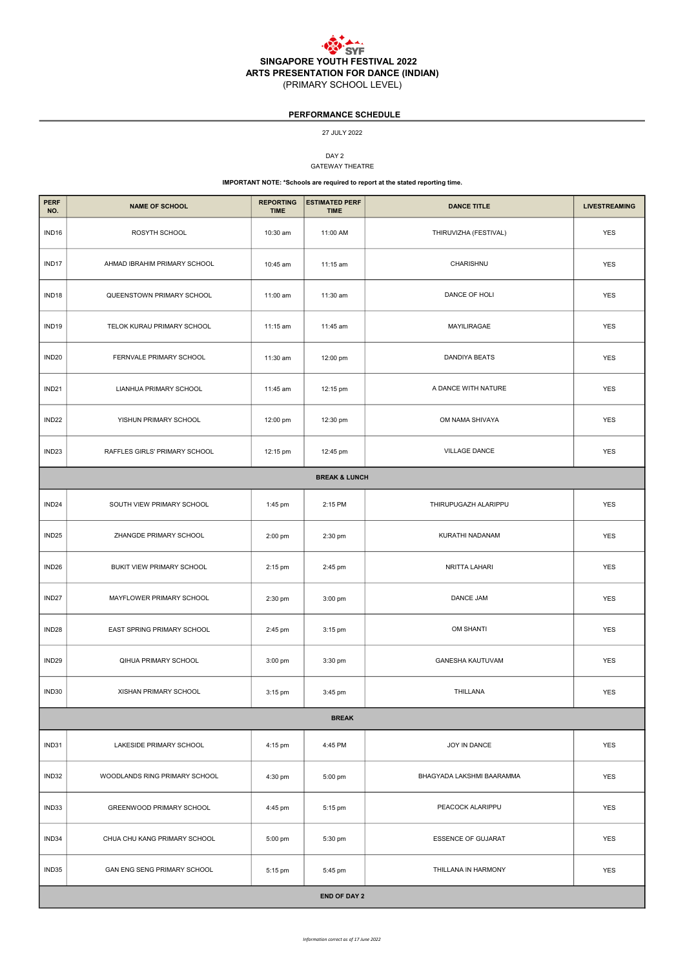

DAY 2 GATEWAY THEATRE

| <b>PERF</b><br>NO.       | <b>NAME OF SCHOOL</b>         | <b>REPORTING</b><br><b>TIME</b> | <b>ESTIMATED PERF</b><br><b>TIME</b> | <b>DANCE TITLE</b>    | <b>LIVESTREAMING</b> |  |  |
|--------------------------|-------------------------------|---------------------------------|--------------------------------------|-----------------------|----------------------|--|--|
| IND <sub>16</sub>        | ROSYTH SCHOOL                 | 10:30 am                        | 11:00 AM                             | THIRUVIZHA (FESTIVAL) | <b>YES</b>           |  |  |
| IND17                    | AHMAD IBRAHIM PRIMARY SCHOOL  | 10:45 am                        | 11:15 am                             | CHARISHNU             | <b>YES</b>           |  |  |
| IND <sub>18</sub>        | QUEENSTOWN PRIMARY SCHOOL     | 11:00 am                        | 11:30 am                             | DANCE OF HOLI         | <b>YES</b>           |  |  |
| IND <sub>19</sub>        | TELOK KURAU PRIMARY SCHOOL    | 11:15 am                        | 11:45 am                             | MAYILIRAGAE           | <b>YES</b>           |  |  |
| IND <sub>20</sub>        | FERNVALE PRIMARY SCHOOL       | 11:30 am                        | 12:00 pm                             | <b>DANDIYA BEATS</b>  | <b>YES</b>           |  |  |
| IND <sub>21</sub>        | <b>LIANHUA PRIMARY SCHOOL</b> | 11:45 am                        | 12:15 pm                             | A DANCE WITH NATURE   | <b>YES</b>           |  |  |
| IND <sub>22</sub>        | YISHUN PRIMARY SCHOOL         | 12:00 pm                        | 12:30 pm                             | OM NAMA SHIVAYA       | <b>YES</b>           |  |  |
| IND <sub>23</sub>        | RAFFLES GIRLS' PRIMARY SCHOOL | 12:15 pm                        | 12:45 pm                             | <b>VILLAGE DANCE</b>  | <b>YES</b>           |  |  |
| <b>BREAK &amp; LUNCH</b> |                               |                                 |                                      |                       |                      |  |  |
| IND <sub>24</sub>        | SOUTH VIEW PRIMARY SCHOOL     | 1:45 pm                         | 2:15 PM                              | THIRUPUGAZH ALARIPPU  | <b>YES</b>           |  |  |
| IND <sub>25</sub>        | ZHANGDE PRIMARY SCHOOL        | 2:00 pm                         | 2:30 pm                              | KURATHI NADANAM       | <b>YES</b>           |  |  |
| IND <sub>26</sub>        | BUKIT VIEW PRIMARY SCHOOL     | 2:15 pm                         | 2:45 pm                              | NRITTA LAHARI         | <b>YES</b>           |  |  |
| IND <sub>27</sub>        | MAYFLOWER PRIMARY SCHOOL      | 2:30 pm                         | 3:00 pm                              | <b>DANCE JAM</b>      | <b>YES</b>           |  |  |
| IND <sub>28</sub>        | EAST SPRING PRIMARY SCHOOL    | 2:45 pm                         | 3:15 pm                              | <b>OM SHANTI</b>      | <b>YES</b>           |  |  |
| IND <sub>29</sub>        | QIHUA PRIMARY SCHOOL          | 3:00 pm                         | 3:30 pm                              | GANESHA KAUTUVAM      | <b>YES</b>           |  |  |
| IND30                    | XISHAN PRIMARY SCHOOL         | 3:15 pm                         | 3:45 pm                              | THILLANA              | <b>YES</b>           |  |  |
| <b>BREAK</b>             |                               |                                 |                                      |                       |                      |  |  |

| IND31               | LAKESIDE PRIMARY SCHOOL            | 4:15 pm   | 4:45 PM | JOY IN DANCE              | <b>YES</b> |
|---------------------|------------------------------------|-----------|---------|---------------------------|------------|
| IND32               | WOODLANDS RING PRIMARY SCHOOL      | 4:30 pm   | 5:00 pm | BHAGYADA LAKSHMI BAARAMMA | <b>YES</b> |
| IND33               | <b>GREENWOOD PRIMARY SCHOOL</b>    | 4:45 pm   | 5:15 pm | PEACOCK ALARIPPU          | <b>YES</b> |
| IND34               | CHUA CHU KANG PRIMARY SCHOOL       | 5:00 pm   | 5:30 pm | <b>ESSENCE OF GUJARAT</b> | <b>YES</b> |
| IND35               | <b>GAN ENG SENG PRIMARY SCHOOL</b> | $5:15$ pm | 5:45 pm | THILLANA IN HARMONY       | <b>YES</b> |
| <b>END OF DAY 2</b> |                                    |           |         |                           |            |

# PERFORMANCE SCHEDULE

#### 27 JULY 2022

### IMPORTANT NOTE: \*Schools are required to report at the stated reporting time.